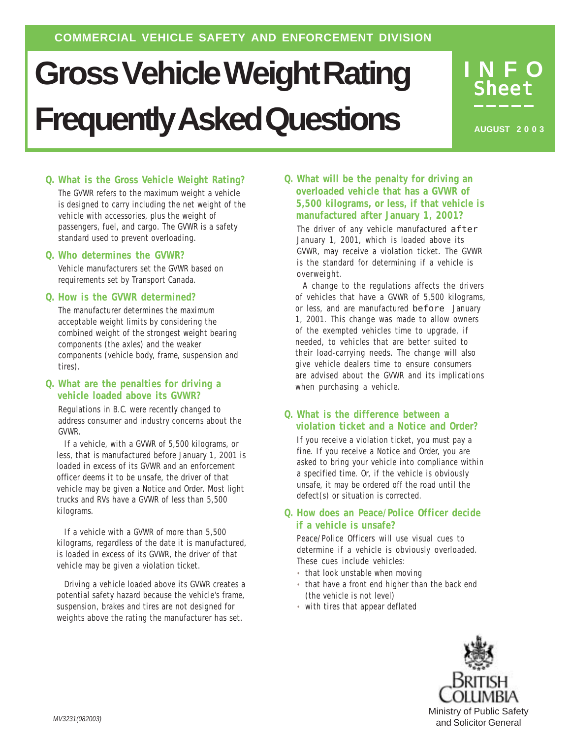# **Gross Vehicle Weight Rating Frequently Asked Questions**

**INFO** Sheet

**AUGUST 2 0 0 3**

# *Q. What is the Gross Vehicle Weight Rating?*

The GVWR refers to the maximum weight a vehicle is designed to carry including the net weight of the vehicle with accessories, plus the weight of passengers, fuel, and cargo. The GVWR is a safety standard used to prevent overloading.

#### *Q. Who determines the GVWR?*

Vehicle manufacturers set the GVWR based on requirements set by Transport Canada.

#### *Q. How is the GVWR determined?*

The manufacturer determines the maximum acceptable weight limits by considering the combined weight of the strongest weight bearing components (the axles) and the weaker components (vehicle body, frame, suspension and tires).

#### *Q. What are the penalties for driving a vehicle loaded above its GVWR?*

Regulations in B.C. were recently changed to address consumer and industry concerns about the GVWR.

If a vehicle, with a GVWR of 5,500 kilograms, or less, that is manufactured before January 1, 2001 is loaded in excess of its GVWR and an enforcement officer deems it to be unsafe, the driver of that vehicle may be given a Notice and Order. Most light trucks and RVs have a GVWR of less than 5,500 kilograms.

If a vehicle with a GVWR of more than 5,500 kilograms, regardless of the date it is manufactured, is loaded in excess of its GVWR, the driver of that vehicle may be given a violation ticket.

Driving a vehicle loaded above its GVWR creates a potential safety hazard because the vehicle's frame, suspension, brakes and tires are not designed for weights above the rating the manufacturer has set.

#### *Q. What will be the penalty for driving an overloaded vehicle that has a GVWR of 5,500 kilograms, or less, if that vehicle is manufactured after January 1, 2001?*

The driver of any vehicle manufactured after January 1, 2001, which is loaded above its GVWR, may receive a violation ticket. The GVWR is the standard for determining if a vehicle is overweight.

A change to the regulations affects the drivers of vehicles that have a GVWR of 5,500 kilograms, or less, and are manufactured before January 1, 2001. This change was made to allow owners of the exempted vehicles time to upgrade, if needed, to vehicles that are better suited to their load-carrying needs. The change will also give vehicle dealers time to ensure consumers are advised about the GVWR and its implications when purchasing a vehicle.

# *Q. What is the difference between a violation ticket and a Notice and Order?*

If you receive a violation ticket, you must pay a fine. If you receive a Notice and Order, you are asked to bring your vehicle into compliance within a specified time. Or, if the vehicle is obviously unsafe, it may be ordered off the road until the defect(s) or situation is corrected.

# *Q. How does an Peace/Police Officer decide if a vehicle is unsafe?*

Peace/Police Officers will use visual cues to determine if a vehicle is obviously overloaded. These cues include vehicles:

- that look unstable when moving
- that have a front end higher than the back end (the vehicle is not level)
- with tires that appear deflated